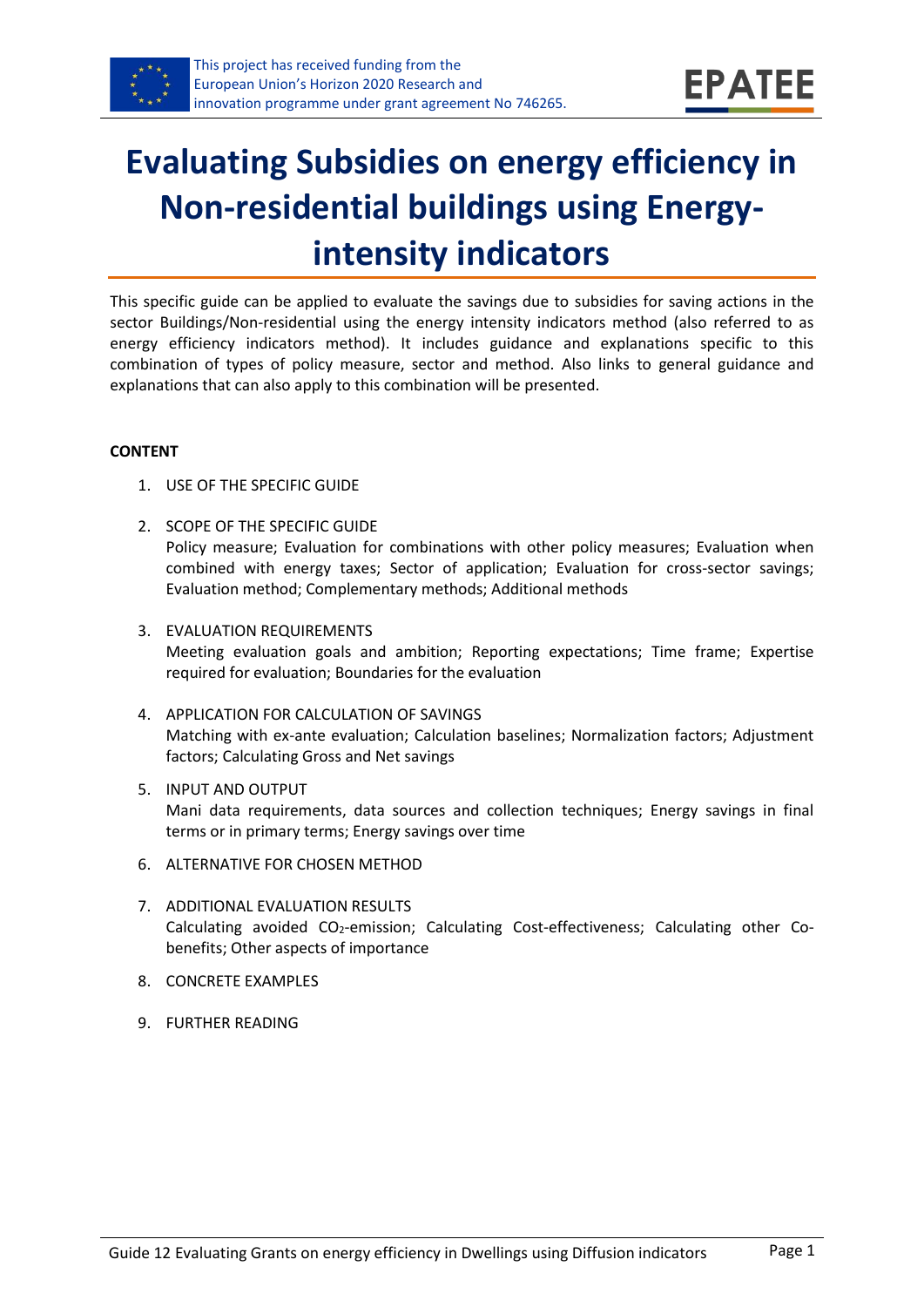

# **Evaluating Subsidies on energy efficiency in Non-residential buildings using Energyintensity indicators**

This specific guide can be applied to evaluate the savings due to subsidies for saving actions in the sector Buildings/Non-residential using the energy intensity indicators method (also referred to as energy efficiency indicators method). It includes guidance and explanations specific to this combination of types of policy measure, sector and method. Also links to general guidance and explanations that can also apply to this combination will be presented.

#### **CONTENT**

- 1. USE OF THE SPECIFIC GUIDE
- <span id="page-0-1"></span>2. SCOPE OF THE SPECIFIC GUIDE Policy measure; Evaluation for combinations with other policy measures; Evaluation when combined with energy taxes; Sector of application; Evaluation for cross-sector savings; Evaluation method; Complementary methods; Additional methods
- <span id="page-0-2"></span>3. EVALUATION REQUIREMENTS Meeting evaluation goals and ambition; Reporting expectations; Time frame; Expertise required for evaluation; Boundaries for the evaluation
- <span id="page-0-3"></span>4. APPLICATION FOR CALCULATION OF SAVINGS Matching with ex-ante evaluation; Calculation baselines; Normalization factors; Adjustment factors; Calculating Gross and Net savings
- <span id="page-0-4"></span>5. INPUT AND OUTPUT Mani data requirements, data sources and collection techniques; Energy savings in final terms or in primary terms; Energy savings over time
- <span id="page-0-0"></span>6. ALTERNATIVE FOR CHOSEN METHOD
- <span id="page-0-5"></span>7. ADDITIONAL EVALUATION RESULTS Calculating avoided CO<sub>2</sub>-emission; Calculating Cost-effectiveness; Calculating other Cobenefits; Other aspects of importance
- <span id="page-0-6"></span>8. CONCRETE EXAMPLES
- <span id="page-0-7"></span>9. FURTHER READING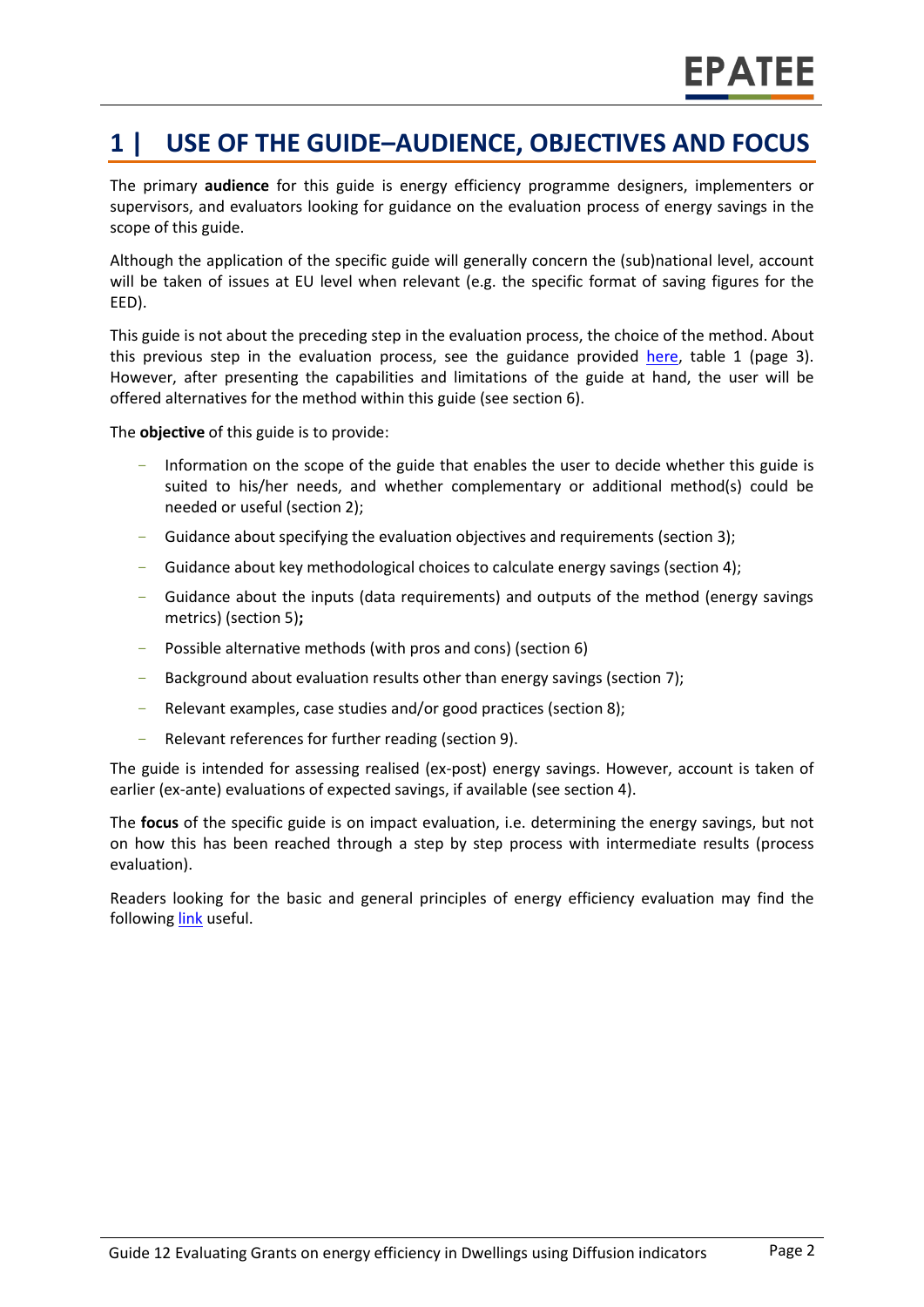### **1 | USE OF THE GUIDE–AUDIENCE, OBJECTIVES AND FOCUS**

The primary **audience** for this guide is energy efficiency programme designers, implementers or supervisors, and evaluators looking for guidance on the evaluation process of energy savings in the scope of this guide.

Although the application of the specific guide will generally concern the (sub)national level, account will be taken of issues at EU level when relevant (e.g. the specific format of saving figures for the EED).

This guide is not about the preceding step in the evaluation process, the choice of the method. About this previous step in the evaluation process, see the guidance provided [here,](https://www.epatee-toolbox.eu/wp-content/uploads/2019/04/Saving_calculation_methods_for_EPATEE_Toobox_2019_04_24.pdf) table 1 (page 3). However, after presenting the capabilities and limitations of the guide at hand, the user will be offered alternatives for the method within this guide (see section [6\)](#page-0-0).

The **objective** of this guide is to provide:

- Information on the scope of the guide that enables the user to decide whether this guide is suited to his/her needs, and whether complementary or additional method(s) could be needed or useful (sectio[n 2\)](#page-0-1);
- Guidance about specifying the evaluation objectives and requirements (section [3\)](#page-0-2);
- Guidance about key methodological choices to calculate energy savings (section [4\)](#page-0-3);
- Guidance about the inputs (data requirements) and outputs of the method (energy savings metrics) (sectio[n 5\)](#page-0-4)**;**
- Possible alternative methods (with pros and cons) (section [6\)](#page-0-0)
- Background about evaluation results other than energy savings (sectio[n 7\)](#page-0-5);
- Relevant examples, case studies and/or good practices (section [8\)](#page-0-6);
- Relevant references for further reading (section [9\)](#page-0-7).

The guide is intended for assessing realised (ex-post) energy savings. However, account is taken of earlier (ex-ante) evaluations of expected savings, if available (see section [4\)](#page-0-3).

The **focus** of the specific guide is on impact evaluation, i.e. determining the energy savings, but not on how this has been reached through a step by step process with intermediate results (process evaluation).

Readers looking for the basic and general principles of energy efficiency evaluation may find the following [link](https://www.epatee-toolbox.eu/evaluation-principles-and-methods/) useful.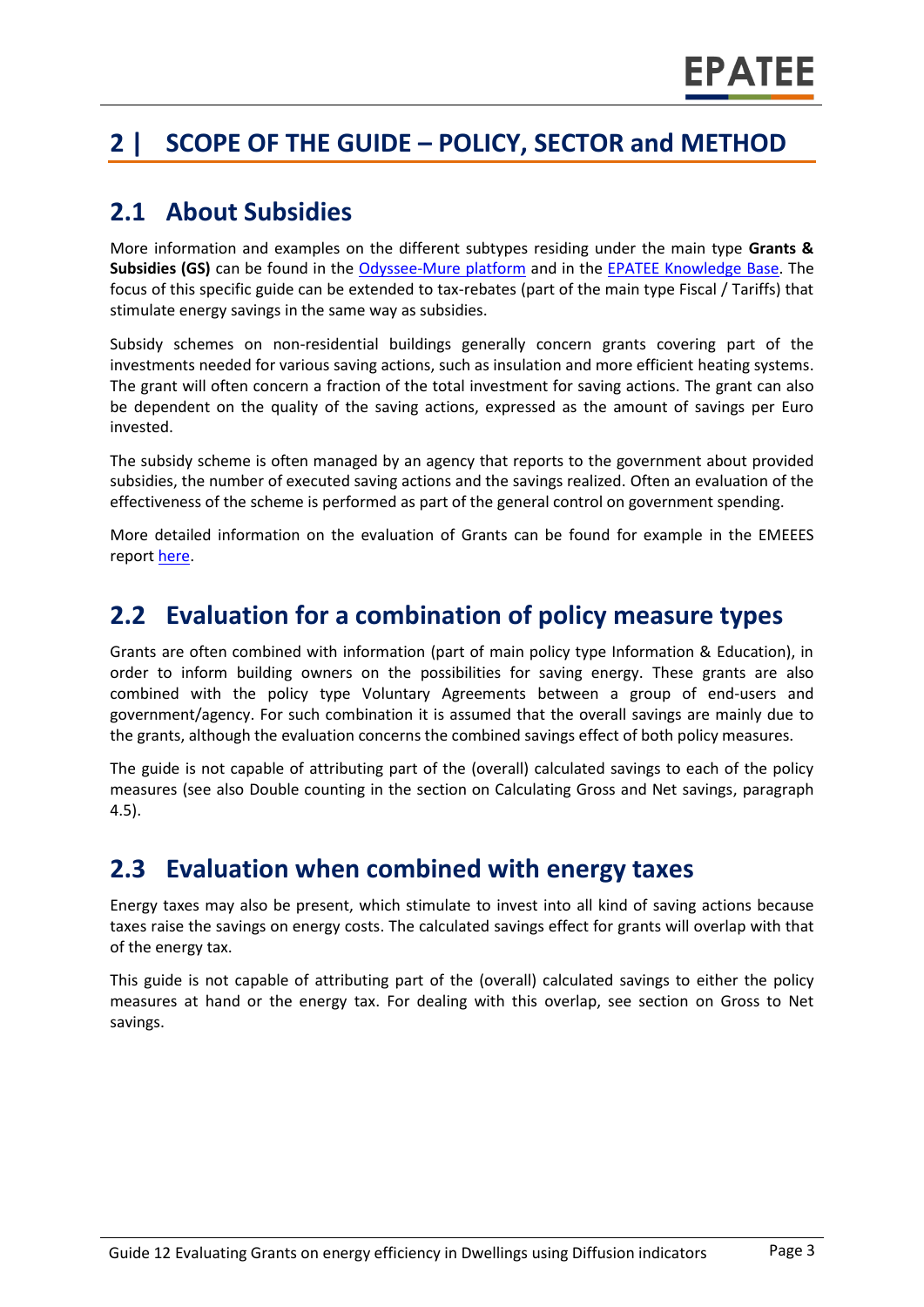# **2 | SCOPE OF THE GUIDE – POLICY, SECTOR and METHOD**

#### **2.1 About Subsidies**

More information and examples on the different subtypes residing under the main type **Grants & Subsidies (GS)** can be found in the [Odyssee-Mure](http://www.measures-odyssee-mure.eu/) platform and in the EPATEE [Knowledge Base.](https://www.epatee-lib.eu/) The focus of this specific guide can be extended to tax-rebates (part of the main type Fiscal / Tariffs) that stimulate energy savings in the same way as subsidies.

Subsidy schemes on non-residential buildings generally concern grants covering part of the investments needed for various saving actions, such as insulation and more efficient heating systems. The grant will often concern a fraction of the total investment for saving actions. The grant can also be dependent on the quality of the saving actions, expressed as the amount of savings per Euro invested.

The subsidy scheme is often managed by an agency that reports to the government about provided subsidies, the number of executed saving actions and the savings realized. Often an evaluation of the effectiveness of the scheme is performed as part of the general control on government spending.

More detailed information on the evaluation of Grants can be found for example in the EMEEES report [here.](https://www.epatee-lib.eu/media/docs/EMEEES_WP2_D1_Assessment_existing_evaluation_2008-04-21.pdf)

#### **2.2 Evaluation for a combination of policy measure types**

Grants are often combined with information (part of main policy type Information & Education), in order to inform building owners on the possibilities for saving energy. These grants are also combined with the policy type Voluntary Agreements between a group of end-users and government/agency. For such combination it is assumed that the overall savings are mainly due to the grants, although the evaluation concerns the combined savings effect of both policy measures.

The guide is not capable of attributing part of the (overall) calculated savings to each of the policy measures (see also Double counting in the section on Calculating Gross and Net savings, paragraph 4.5).

#### **2.3 Evaluation when combined with energy taxes**

Energy taxes may also be present, which stimulate to invest into all kind of saving actions because taxes raise the savings on energy costs. The calculated savings effect for grants will overlap with that of the energy tax.

This guide is not capable of attributing part of the (overall) calculated savings to either the policy measures at hand or the energy tax. For dealing with this overlap, see section on Gross to Net savings.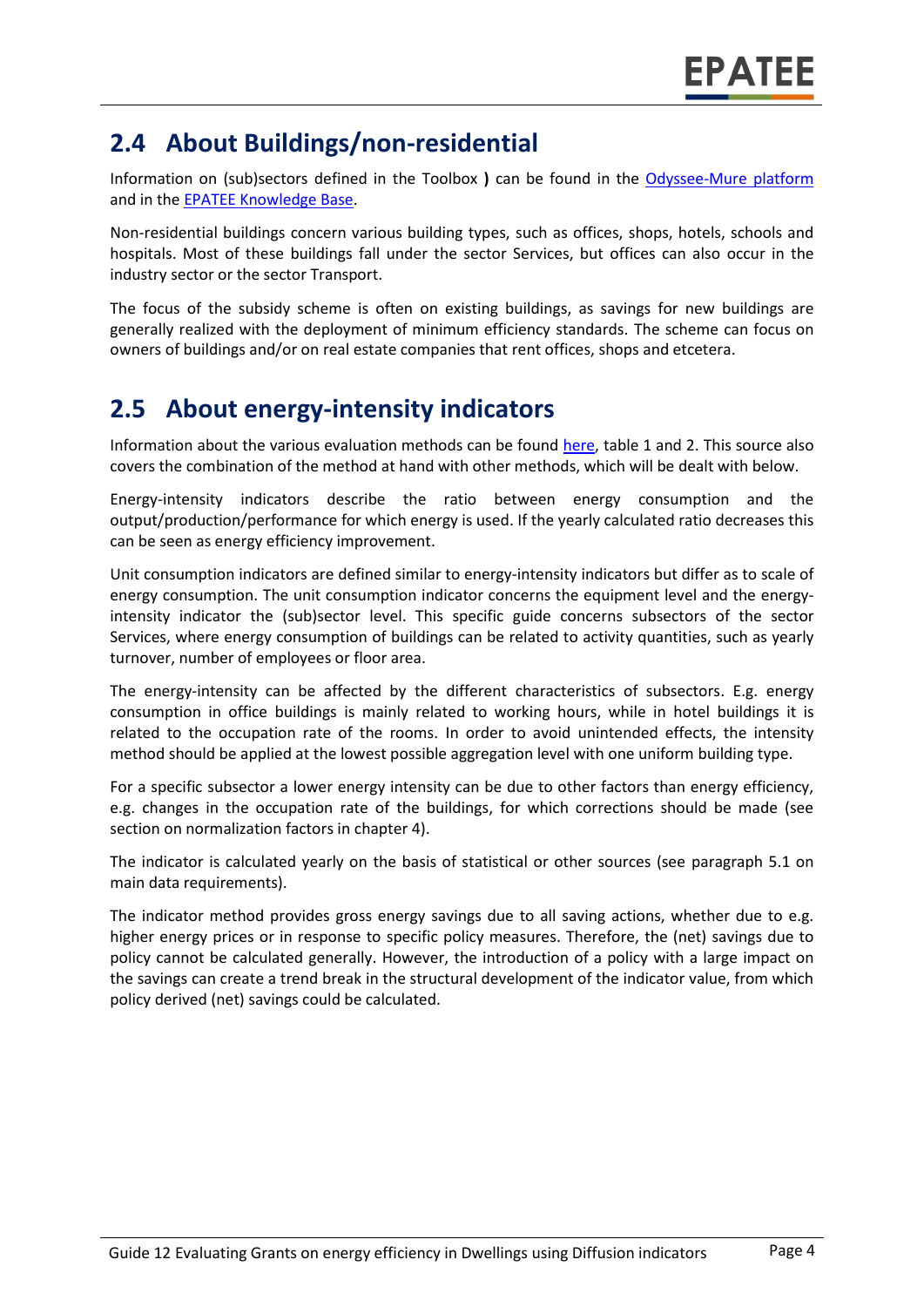### **2.4 About Buildings/non-residential**

Information on (sub)sectors defined in the Toolbox **)** can be found in the [Odyssee-Mure platform](http://www.measures-odyssee-mure.eu/)  and in the EPATEE [Knowledge Base.](https://www.epatee-lib.eu/)

Non-residential buildings concern various building types, such as offices, shops, hotels, schools and hospitals. Most of these buildings fall under the sector Services, but offices can also occur in the industry sector or the sector Transport.

The focus of the subsidy scheme is often on existing buildings, as savings for new buildings are generally realized with the deployment of minimum efficiency standards. The scheme can focus on owners of buildings and/or on real estate companies that rent offices, shops and etcetera.

### **2.5 About energy-intensity indicators**

Information about the various evaluation methods can be found [here,](https://www.epatee-toolbox.eu/wp-content/uploads/2019/04/Saving_calculation_methods_for_EPATEE_Toobox_2019_04_24.pdf) table 1 and 2. This source also covers the combination of the method at hand with other methods, which will be dealt with below.

Energy-intensity indicators describe the ratio between energy consumption and the output/production/performance for which energy is used. If the yearly calculated ratio decreases this can be seen as energy efficiency improvement.

Unit consumption indicators are defined similar to energy-intensity indicators but differ as to scale of energy consumption. The unit consumption indicator concerns the equipment level and the energyintensity indicator the (sub)sector level. This specific guide concerns subsectors of the sector Services, where energy consumption of buildings can be related to activity quantities, such as yearly turnover, number of employees or floor area.

The energy-intensity can be affected by the different characteristics of subsectors. E.g. energy consumption in office buildings is mainly related to working hours, while in hotel buildings it is related to the occupation rate of the rooms. In order to avoid unintended effects, the intensity method should be applied at the lowest possible aggregation level with one uniform building type.

For a specific subsector a lower energy intensity can be due to other factors than energy efficiency, e.g. changes in the occupation rate of the buildings, for which corrections should be made (see section on normalization factors in chapter 4).

The indicator is calculated yearly on the basis of statistical or other sources (see paragraph 5.1 on main data requirements).

The indicator method provides gross energy savings due to all saving actions, whether due to e.g. higher energy prices or in response to specific policy measures. Therefore, the (net) savings due to policy cannot be calculated generally. However, the introduction of a policy with a large impact on the savings can create a trend break in the structural development of the indicator value, from which policy derived (net) savings could be calculated.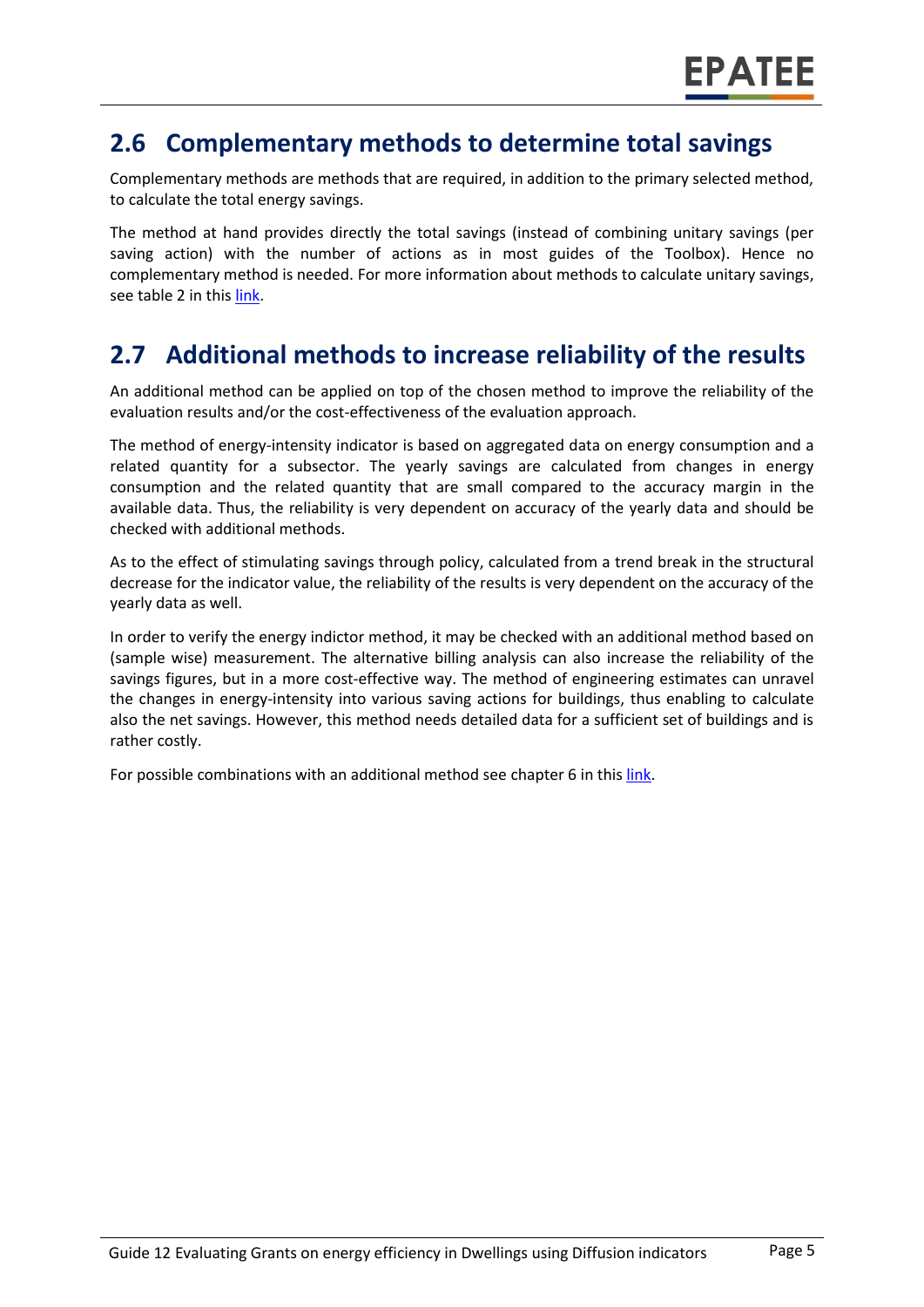#### **2.6 Complementary methods to determine total savings**

Complementary methods are methods that are required, in addition to the primary selected method, to calculate the total energy savings.

The method at hand provides directly the total savings (instead of combining unitary savings (per saving action) with the number of actions as in most guides of the Toolbox). Hence no complementary method is needed. For more information about methods to calculate unitary savings, see table 2 in thi[s link.](https://www.epatee-toolbox.eu/wp-content/uploads/2019/04/Saving_calculation_methods_for_EPATEE_Toobox_2019_04_24.pdf)

### **2.7 Additional methods to increase reliability of the results**

An additional method can be applied on top of the chosen method to improve the reliability of the evaluation results and/or the cost-effectiveness of the evaluation approach.

The method of energy-intensity indicator is based on aggregated data on energy consumption and a related quantity for a subsector. The yearly savings are calculated from changes in energy consumption and the related quantity that are small compared to the accuracy margin in the available data. Thus, the reliability is very dependent on accuracy of the yearly data and should be checked with additional methods.

As to the effect of stimulating savings through policy, calculated from a trend break in the structural decrease for the indicator value, the reliability of the results is very dependent on the accuracy of the yearly data as well.

In order to verify the energy indictor method, it may be checked with an additional method based on (sample wise) measurement. The alternative billing analysis can also increase the reliability of the savings figures, but in a more cost-effective way. The method of engineering estimates can unravel the changes in energy-intensity into various saving actions for buildings, thus enabling to calculate also the net savings. However, this method needs detailed data for a sufficient set of buildings and is rather costly.

For possible combinations with an additional method see chapter 6 in thi[s link.](https://www.epatee-toolbox.eu/wp-content/uploads/2019/04/Saving_calculation_methods_for_EPATEE_Toobox_2019_04_24.pdf)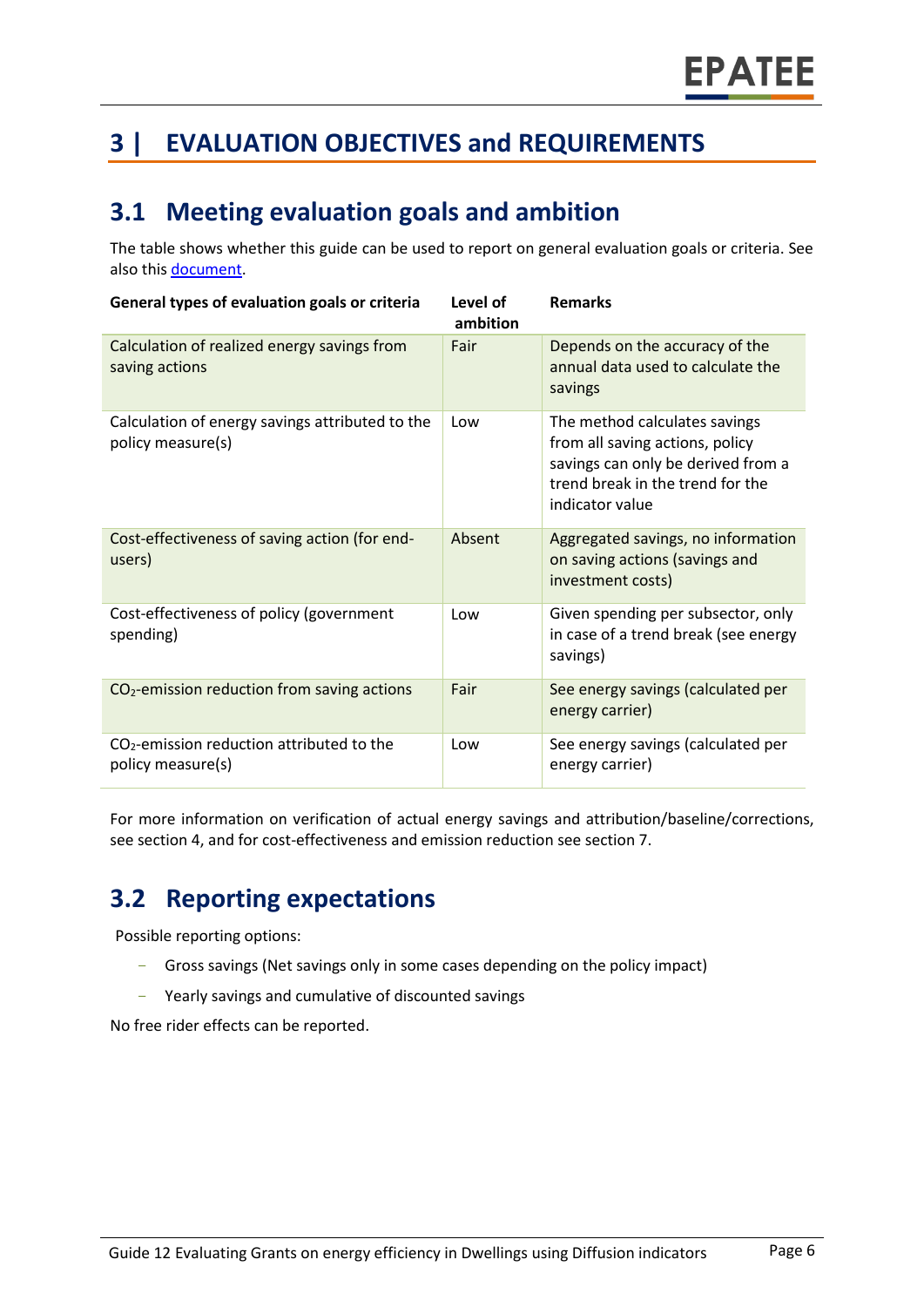# **3 | EVALUATION OBJECTIVES and REQUIREMENTS**

### **3.1 Meeting evaluation goals and ambition**

The table shows whether this guide can be used to report on general evaluation goals or criteria. See also this [document.](https://www.epatee-lib.eu/media/docs/D4_EMEEES_Final.pdf)

| General types of evaluation goals or criteria                        | Level of<br>ambition | <b>Remarks</b>                                                                                                                                                |
|----------------------------------------------------------------------|----------------------|---------------------------------------------------------------------------------------------------------------------------------------------------------------|
| Calculation of realized energy savings from<br>saving actions        | Fair                 | Depends on the accuracy of the<br>annual data used to calculate the<br>savings                                                                                |
| Calculation of energy savings attributed to the<br>policy measure(s) | Low                  | The method calculates savings<br>from all saving actions, policy<br>savings can only be derived from a<br>trend break in the trend for the<br>indicator value |
| Cost-effectiveness of saving action (for end-<br>users)              | Absent               | Aggregated savings, no information<br>on saving actions (savings and<br>investment costs)                                                                     |
| Cost-effectiveness of policy (government<br>spending)                | Low                  | Given spending per subsector, only<br>in case of a trend break (see energy<br>savings)                                                                        |
| $CO2$ -emission reduction from saving actions                        | Fair                 | See energy savings (calculated per<br>energy carrier)                                                                                                         |
| $CO2$ -emission reduction attributed to the<br>policy measure(s)     | Low                  | See energy savings (calculated per<br>energy carrier)                                                                                                         |

For more information on verification of actual energy savings and attribution/baseline/corrections, see section 4, and for cost-effectiveness and emission reduction see section 7.

# **3.2 Reporting expectations**

Possible reporting options:

- Gross savings (Net savings only in some cases depending on the policy impact)
- Yearly savings and cumulative of discounted savings

No free rider effects can be reported.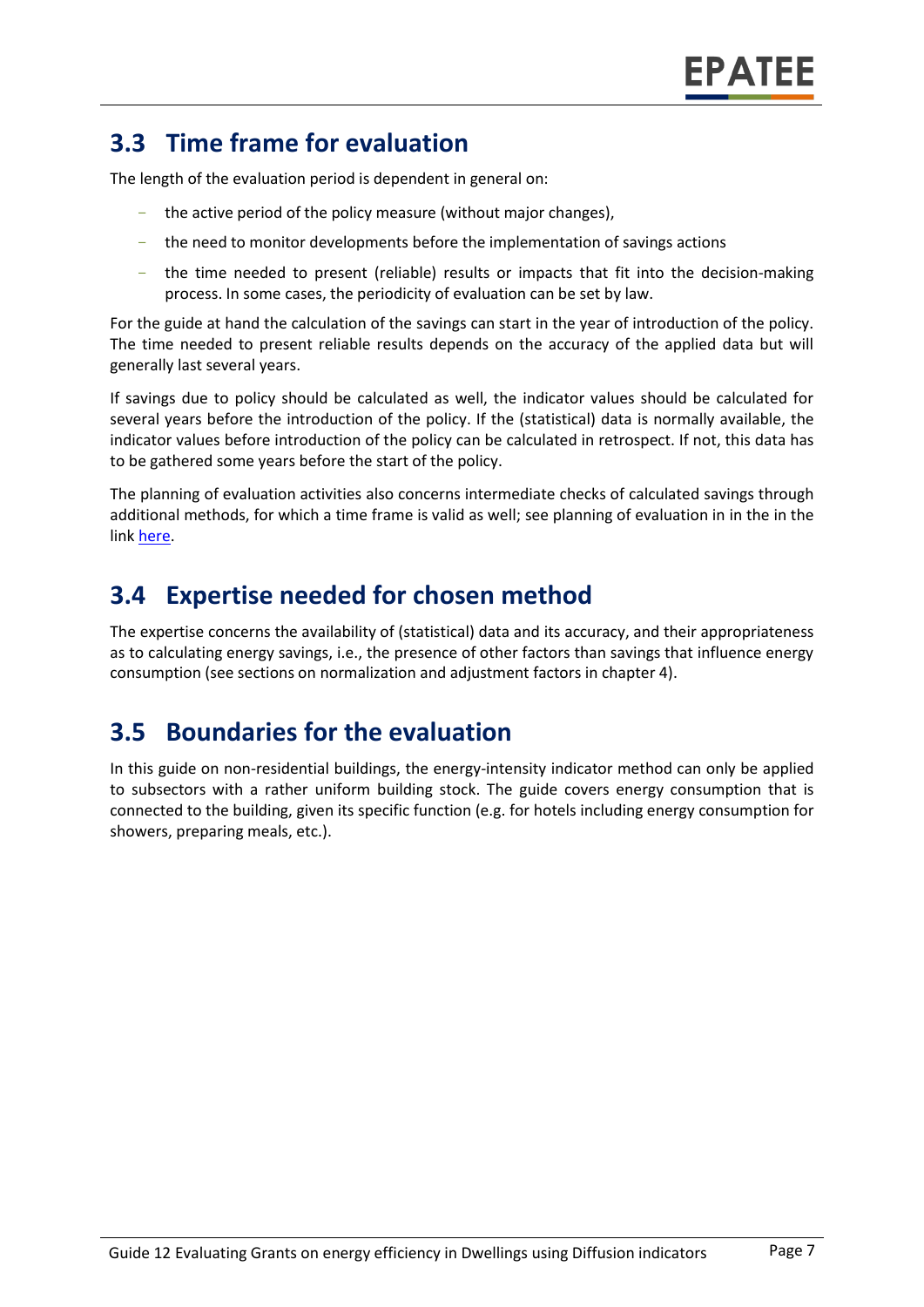### **3.3 Time frame for evaluation**

The length of the evaluation period is dependent in general on:

- the active period of the policy measure (without major changes),
- the need to monitor developments before the implementation of savings actions
- the time needed to present (reliable) results or impacts that fit into the decision-making process. In some cases, the periodicity of evaluation can be set by law.

For the guide at hand the calculation of the savings can start in the year of introduction of the policy. The time needed to present reliable results depends on the accuracy of the applied data but will generally last several years.

If savings due to policy should be calculated as well, the indicator values should be calculated for several years before the introduction of the policy. If the (statistical) data is normally available, the indicator values before introduction of the policy can be calculated in retrospect. If not, this data has to be gathered some years before the start of the policy.

The planning of evaluation activities also concerns intermediate checks of calculated savings through additional methods, for which a time frame is valid as well; see planning of evaluation in in the in the link [here.](https://www.epatee-toolbox.eu/wp-content/uploads/2019/04/epatee_integrating_evaluation_into_policy_cycle.pdf)

#### **3.4 Expertise needed for chosen method**

The expertise concerns the availability of (statistical) data and its accuracy, and their appropriateness as to calculating energy savings, i.e., the presence of other factors than savings that influence energy consumption (see sections on normalization and adjustment factors in chapter 4).

#### **3.5 Boundaries for the evaluation**

In this guide on non-residential buildings, the energy-intensity indicator method can only be applied to subsectors with a rather uniform building stock. The guide covers energy consumption that is connected to the building, given its specific function (e.g. for hotels including energy consumption for showers, preparing meals, etc.).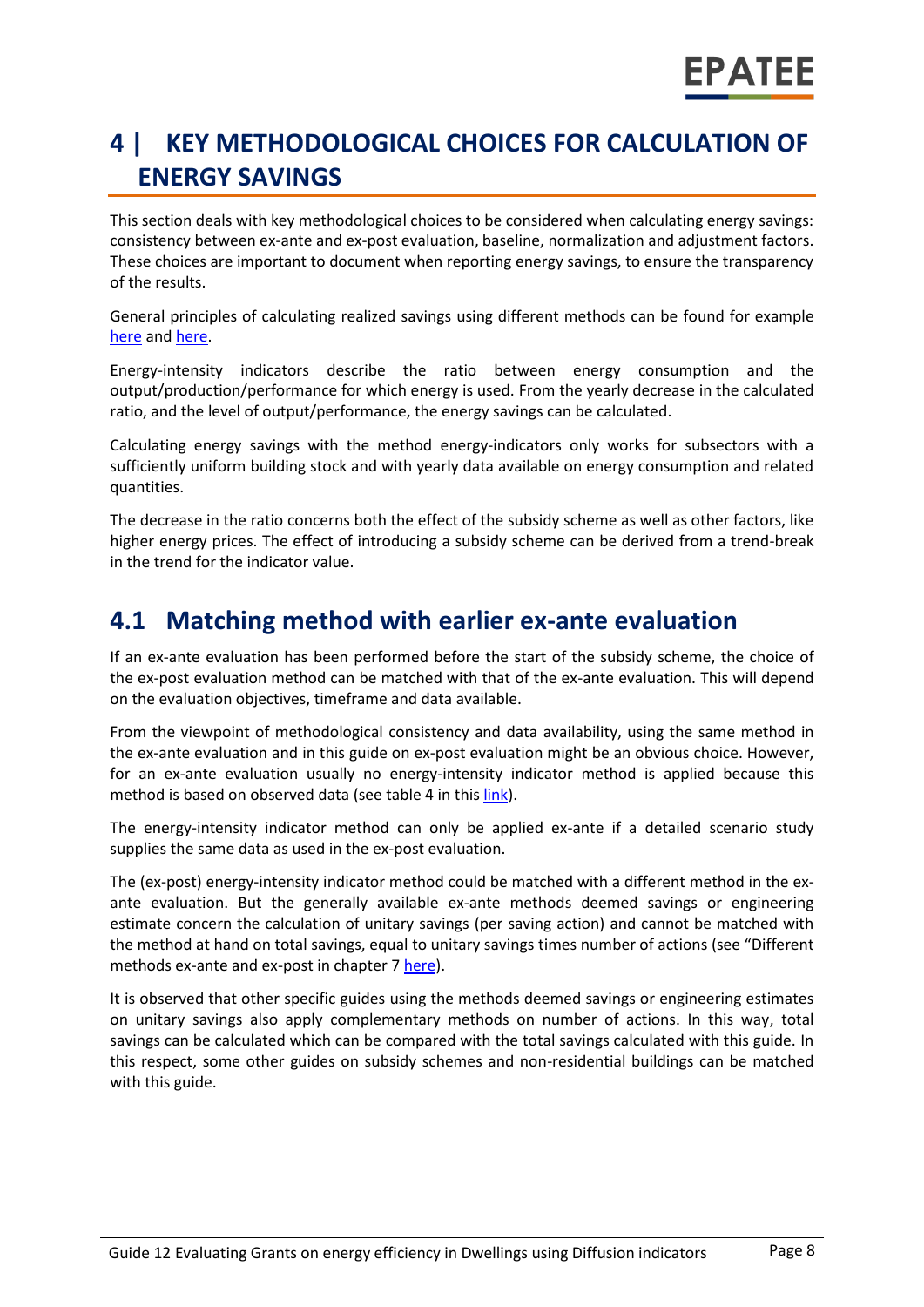# **4 | KEY METHODOLOGICAL CHOICES FOR CALCULATION OF ENERGY SAVINGS**

This section deals with key methodological choices to be considered when calculating energy savings: consistency between ex-ante and ex-post evaluation, baseline, normalization and adjustment factors. These choices are important to document when reporting energy savings, to ensure the transparency of the results.

General principles of calculating realized savings using different methods can be found for example [here](https://www.epatee-lib.eu/media/docs/D4_EMEEES_Final.pdf) and [here.](https://www.epatee-lib.eu/media/docs/EMEEES_WP3_Report_Final.pdf)

Energy-intensity indicators describe the ratio between energy consumption and the output/production/performance for which energy is used. From the yearly decrease in the calculated ratio, and the level of output/performance, the energy savings can be calculated.

Calculating energy savings with the method energy-indicators only works for subsectors with a sufficiently uniform building stock and with yearly data available on energy consumption and related quantities.

The decrease in the ratio concerns both the effect of the subsidy scheme as well as other factors, like higher energy prices. The effect of introducing a subsidy scheme can be derived from a trend-break in the trend for the indicator value.

#### **4.1 Matching method with earlier ex-ante evaluation**

If an ex-ante evaluation has been performed before the start of the subsidy scheme, the choice of the ex-post evaluation method can be matched with that of the ex-ante evaluation. This will depend on the evaluation objectives, timeframe and data available.

From the viewpoint of methodological consistency and data availability, using the same method in the ex-ante evaluation and in this guide on ex-post evaluation might be an obvious choice. However, for an ex-ante evaluation usually no energy-intensity indicator method is applied because this method is based on observed data (see table 4 in thi[s link\)](https://www.epatee-toolbox.eu/wp-content/uploads/2019/04/Saving_calculation_methods_for_EPATEE_Toobox_2019_04_24.pdf).

The energy-intensity indicator method can only be applied ex-ante if a detailed scenario study supplies the same data as used in the ex-post evaluation.

The (ex-post) energy-intensity indicator method could be matched with a different method in the exante evaluation. But the generally available ex-ante methods deemed savings or engineering estimate concern the calculation of unitary savings (per saving action) and cannot be matched with the method at hand on total savings, equal to unitary savings times number of actions (see "Different methods ex-ante and ex-post in chapter 7 [here\)](https://www.epatee-toolbox.eu/wp-content/uploads/2019/04/Saving_calculation_methods_for_EPATEE_Toobox_2019_04_24.pdf).

It is observed that other specific guides using the methods deemed savings or engineering estimates on unitary savings also apply complementary methods on number of actions. In this way, total savings can be calculated which can be compared with the total savings calculated with this guide. In this respect, some other guides on subsidy schemes and non-residential buildings can be matched with this guide.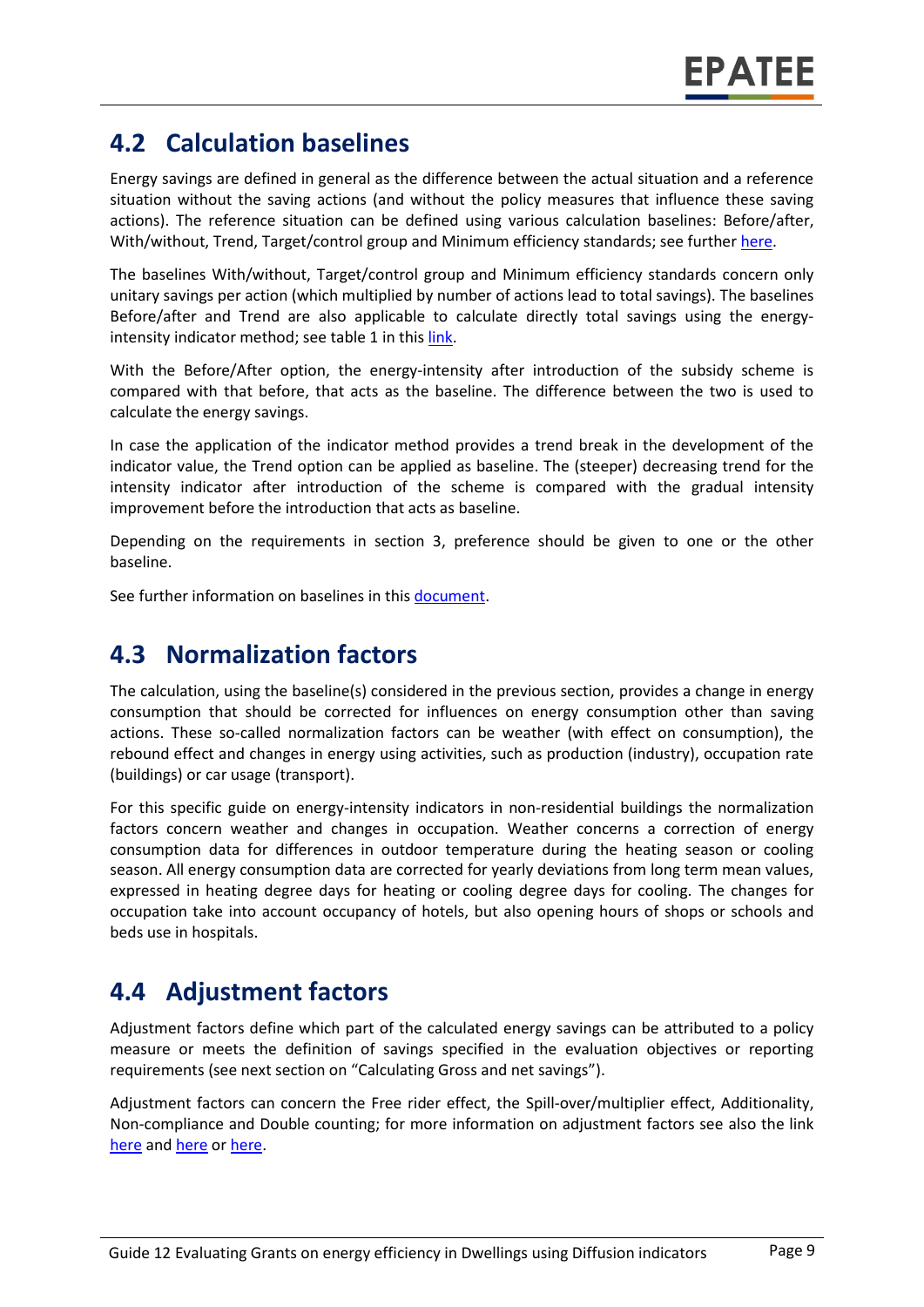#### **4.2 Calculation baselines**

Energy savings are defined in general as the difference between the actual situation and a reference situation without the saving actions (and without the policy measures that influence these saving actions). The reference situation can be defined using various calculation baselines: Before/after, With/without, Trend, Target/control group and Minimum efficiency standards; see further [here.](https://www.epatee-toolbox.eu/wp-content/uploads/2019/04/Application_of_KB_savings_baselines_and_correction_factors_in_the_Toolbox_and_PSMCs_190418_.pdf)

The baselines With/without, Target/control group and Minimum efficiency standards concern only unitary savings per action (which multiplied by number of actions lead to total savings). The baselines Before/after and Trend are also applicable to calculate directly total savings using the energyintensity indicator method; see table 1 in this [link.](https://www.epatee-toolbox.eu/wp-content/uploads/2019/04/Saving_calculation_methods_for_EPATEE_Toobox_2019_04_24.pdf)

With the Before/After option, the energy-intensity after introduction of the subsidy scheme is compared with that before, that acts as the baseline. The difference between the two is used to calculate the energy savings.

In case the application of the indicator method provides a trend break in the development of the indicator value, the Trend option can be applied as baseline. The (steeper) decreasing trend for the intensity indicator after introduction of the scheme is compared with the gradual intensity improvement before the introduction that acts as baseline.

Depending on the requirements in section 3, preference should be given to one or the other baseline.

See further information on baselines in this [document.](https://www.academia.edu/14979876/Evaluating_energy_efficiency_policy_measures_and_DSM_programmes)

#### **4.3 Normalization factors**

The calculation, using the baseline(s) considered in the previous section, provides a change in energy consumption that should be corrected for influences on energy consumption other than saving actions. These so-called normalization factors can be weather (with effect on consumption), the rebound effect and changes in energy using activities, such as production (industry), occupation rate (buildings) or car usage (transport).

For this specific guide on energy-intensity indicators in non-residential buildings the normalization factors concern weather and changes in occupation. Weather concerns a correction of energy consumption data for differences in outdoor temperature during the heating season or cooling season. All energy consumption data are corrected for yearly deviations from long term mean values, expressed in heating degree days for heating or cooling degree days for cooling. The changes for occupation take into account occupancy of hotels, but also opening hours of shops or schools and beds use in hospitals.

### **4.4 Adjustment factors**

Adjustment factors define which part of the calculated energy savings can be attributed to a policy measure or meets the definition of savings specified in the evaluation objectives or reporting requirements (see next section on "Calculating Gross and net savings").

Adjustment factors can concern the Free rider effect, the Spill-over/multiplier effect, Additionality, Non-compliance and Double counting; for more information on adjustment factors see also the link [here](https://www.epatee-lib.eu/media/docs/EMEEES_WP3_Report_Final.pdf) and [here](https://www.academia.edu/14979876/Evaluating_energy_efficiency_policy_measures_and_DSM_programmes) o[r here.](https://www.epatee-lib.eu/media/docs/D4_EMEEES_Final.pdf)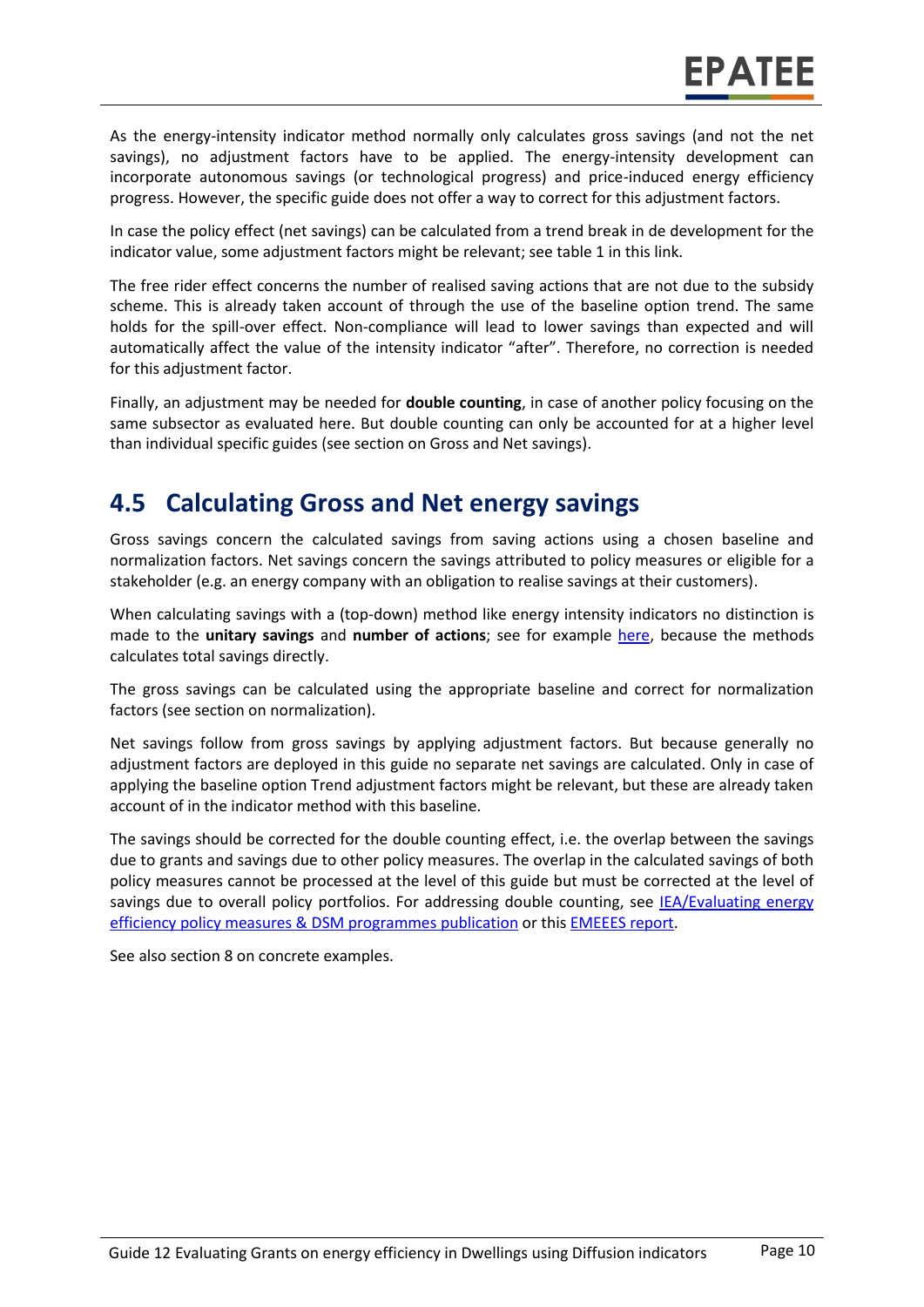As the energy-intensity indicator method normally only calculates gross savings (and not the net savings), no adjustment factors have to be applied. The energy-intensity development can incorporate autonomous savings (or technological progress) and price-induced energy efficiency progress. However, the specific guide does not offer a way to correct for this adjustment factors.

In case the policy effect (net savings) can be calculated from a trend break in de development for the indicator value, some adjustment factors might be relevant; see table 1 in thi[s link.](https://www.epatee-toolbox.eu/wp-content/uploads/2019/04/Saving_calculation_methods_for_EPATEE_Toobox_2019_04_24.pdf)

The free rider effect concerns the number of realised saving actions that are not due to the subsidy scheme. This is already taken account of through the use of the baseline option trend. The same holds for the spill-over effect. Non-compliance will lead to lower savings than expected and will automatically affect the value of the intensity indicator "after". Therefore, no correction is needed for this adjustment factor.

Finally, an adjustment may be needed for **double counting**, in case of another policy focusing on the same subsector as evaluated here. But double counting can only be accounted for at a higher level than individual specific guides (see section on Gross and Net savings).

#### **4.5 Calculating Gross and Net energy savings**

Gross savings concern the calculated savings from saving actions using a chosen baseline and normalization factors. Net savings concern the savings attributed to policy measures or eligible for a stakeholder (e.g. an energy company with an obligation to realise savings at their customers).

When calculating savings with a (top-down) method like energy intensity indicators no distinction is made to the **unitary savings** and **number of actions**; see for example [here,](https://www.epatee-lib.eu/media/docs/D4_EMEEES_Final.pdf) because the methods calculates total savings directly.

The gross savings can be calculated using the appropriate baseline and correct for normalization factors (see section on normalization).

Net savings follow from gross savings by applying adjustment factors. But because generally no adjustment factors are deployed in this guide no separate net savings are calculated. Only in case of applying the baseline option Trend adjustment factors might be relevant, but these are already taken account of in the indicator method with this baseline.

The savings should be corrected for the double counting effect, i.e. the overlap between the savings due to grants and savings due to other policy measures. The overlap in the calculated savings of both policy measures cannot be processed at the level of this guide but must be corrected at the level of savings due to overall policy portfolios. For addressing double counting, see IEA/Evaluating energy [efficiency policy measures & DSM programmes](https://www.academia.edu/14979876/Evaluating_energy_efficiency_policy_measures_and_DSM_programmes) publication or this [EMEEES](https://www.epatee-lib.eu/media/docs/D4_EMEEES_Final.pdf) report.

See also section 8 on concrete examples.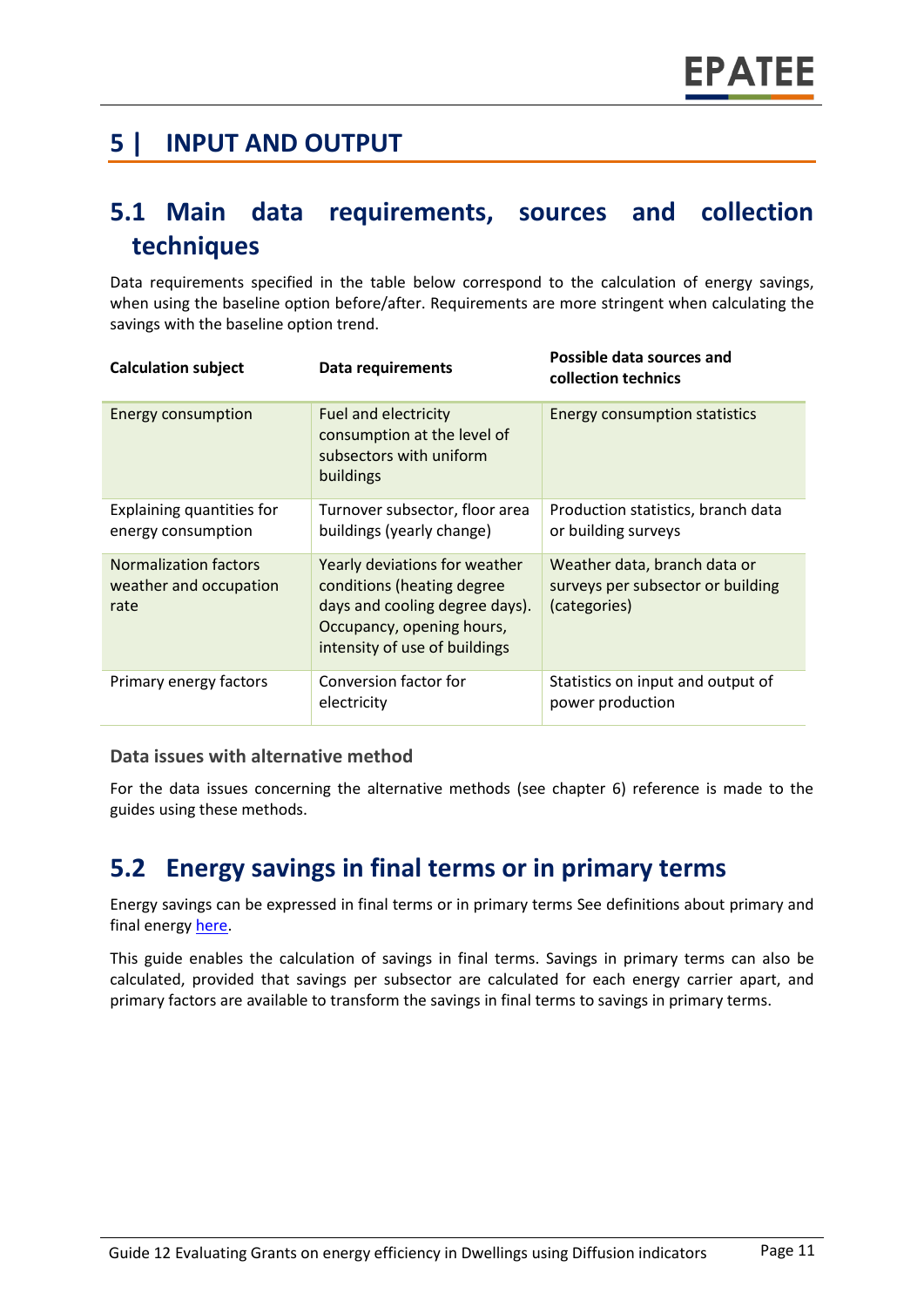#### **5 | INPUT AND OUTPUT**

#### **5.1 Main data requirements, sources and collection techniques**

Data requirements specified in the table below correspond to the calculation of energy savings, when using the baseline option before/after. Requirements are more stringent when calculating the savings with the baseline option trend.

| <b>Calculation subject</b>                                     | Data requirements                                                                                                                                           | Possible data sources and<br>collection technics                                  |
|----------------------------------------------------------------|-------------------------------------------------------------------------------------------------------------------------------------------------------------|-----------------------------------------------------------------------------------|
| <b>Energy consumption</b>                                      | <b>Fuel and electricity</b><br>consumption at the level of<br>subsectors with uniform<br>buildings                                                          | <b>Energy consumption statistics</b>                                              |
| Explaining quantities for<br>energy consumption                | Turnover subsector, floor area<br>buildings (yearly change)                                                                                                 | Production statistics, branch data<br>or building surveys                         |
| <b>Normalization factors</b><br>weather and occupation<br>rate | Yearly deviations for weather<br>conditions (heating degree<br>days and cooling degree days).<br>Occupancy, opening hours,<br>intensity of use of buildings | Weather data, branch data or<br>surveys per subsector or building<br>(categories) |
| Primary energy factors                                         | Conversion factor for<br>electricity                                                                                                                        | Statistics on input and output of<br>power production                             |

#### **Data issues with alternative method**

For the data issues concerning the alternative methods (see chapter 6) reference is made to the guides using these methods.

#### **5.2 Energy savings in final terms or in primary terms**

Energy savings can be expressed in final terms or in primary terms See definitions about primary and final energy [here.](https://www.epatee-toolbox.eu/wp-content/uploads/2018/10/Definitions-and-typologies-related-to-energy-savings-evaluation.pdf)

This guide enables the calculation of savings in final terms. Savings in primary terms can also be calculated, provided that savings per subsector are calculated for each energy carrier apart, and primary factors are available to transform the savings in final terms to savings in primary terms.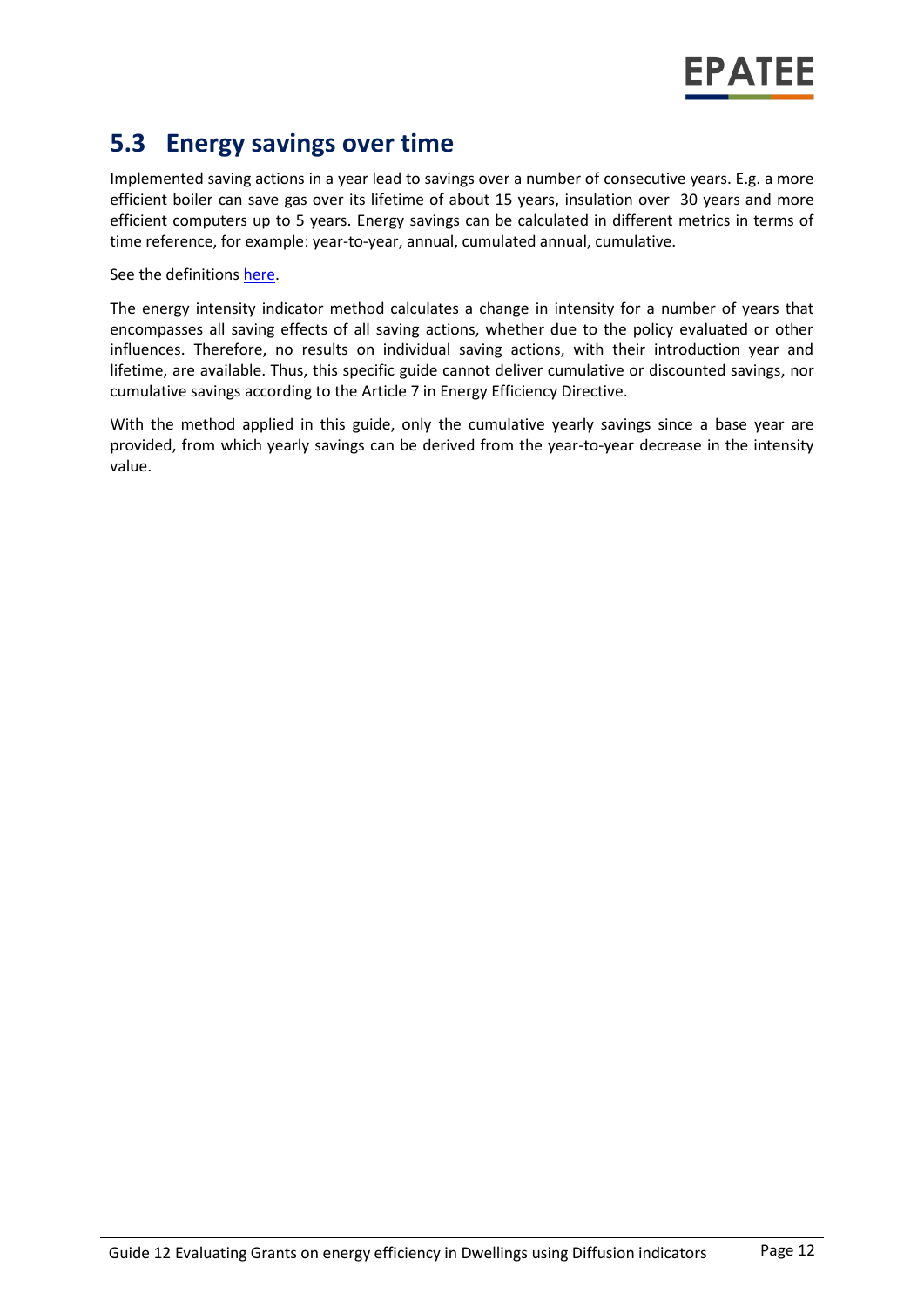#### **5.3 Energy savings over time**

Implemented saving actions in a year lead to savings over a number of consecutive years. E.g. a more efficient boiler can save gas over its lifetime of about 15 years, insulation over 30 years and more efficient computers up to 5 years. Energy savings can be calculated in different metrics in terms of time reference, for example: year-to-year, annual, cumulated annual, cumulative.

See the definitions [here.](https://www.epatee-toolbox.eu/wp-content/uploads/2018/10/Definitions-and-typologies-related-to-energy-savings-evaluation.pdf)

The energy intensity indicator method calculates a change in intensity for a number of years that encompasses all saving effects of all saving actions, whether due to the policy evaluated or other influences. Therefore, no results on individual saving actions, with their introduction year and lifetime, are available. Thus, this specific guide cannot deliver cumulative or discounted savings, nor cumulative savings according to the Article 7 in Energy Efficiency Directive.

With the method applied in this guide, only the cumulative yearly savings since a base year are provided, from which yearly savings can be derived from the year-to-year decrease in the intensity value.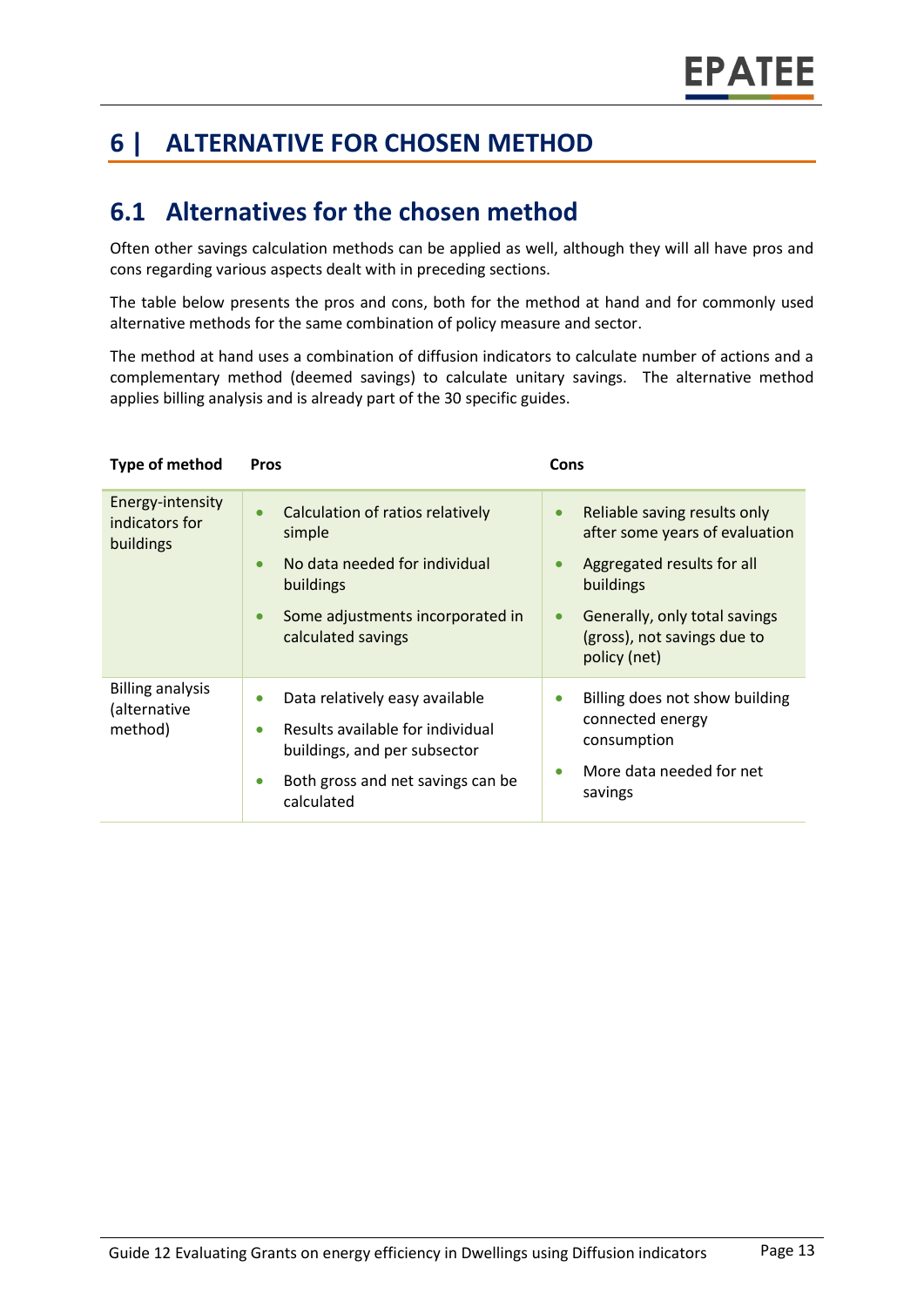# **6 | ALTERNATIVE FOR CHOSEN METHOD**

#### **6.1 Alternatives for the chosen method**

Often other savings calculation methods can be applied as well, although they will all have pros and cons regarding various aspects dealt with in preceding sections.

The table below presents the pros and cons, both for the method at hand and for commonly used alternative methods for the same combination of policy measure and sector.

The method at hand uses a combination of diffusion indicators to calculate number of actions and a complementary method (deemed savings) to calculate unitary savings. The alternative method applies billing analysis and is already part of the 30 specific guides.

| Type of method                                     | Pros                                                                                                                                                                                         | Cons                                                                                                                                                                                                                             |
|----------------------------------------------------|----------------------------------------------------------------------------------------------------------------------------------------------------------------------------------------------|----------------------------------------------------------------------------------------------------------------------------------------------------------------------------------------------------------------------------------|
| Energy-intensity<br>indicators for<br>buildings    | Calculation of ratios relatively<br>$\bullet$<br>simple<br>No data needed for individual<br>$\bullet$<br>buildings<br>Some adjustments incorporated in<br>$\bullet$<br>calculated savings    | Reliable saving results only<br>$\bullet$<br>after some years of evaluation<br>Aggregated results for all<br>$\bullet$<br>buildings<br>Generally, only total savings<br>$\bullet$<br>(gross), not savings due to<br>policy (net) |
| <b>Billing analysis</b><br>(alternative<br>method) | Data relatively easy available<br>$\bullet$<br>Results available for individual<br>$\bullet$<br>buildings, and per subsector<br>Both gross and net savings can be<br>$\bullet$<br>calculated | Billing does not show building<br>$\bullet$<br>connected energy<br>consumption<br>More data needed for net<br>$\bullet$<br>savings                                                                                               |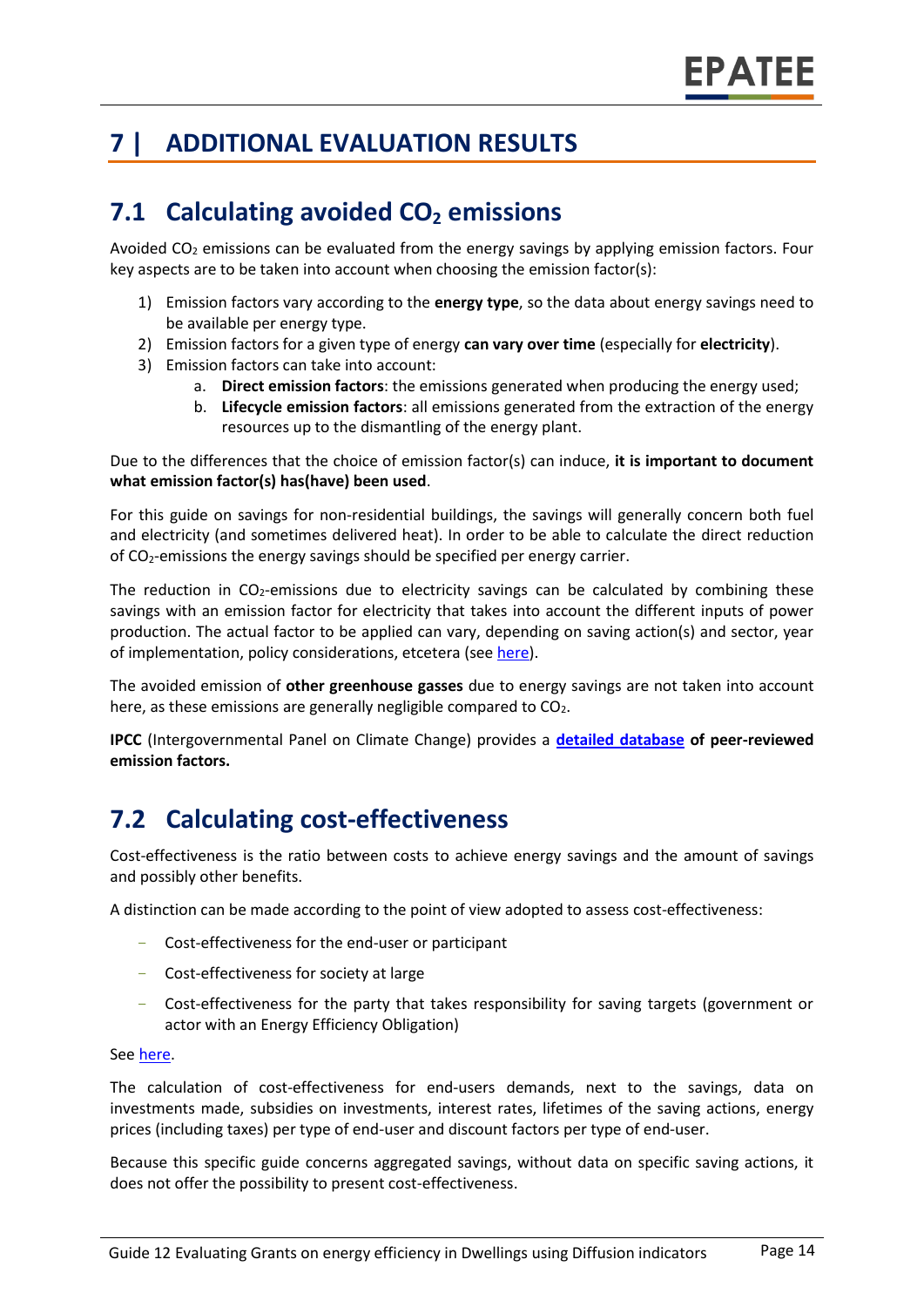# **7 | ADDITIONAL EVALUATION RESULTS**

### **7.1 Calculating avoided CO<sup>2</sup> emissions**

Avoided  $CO<sub>2</sub>$  emissions can be evaluated from the energy savings by applying emission factors. Four key aspects are to be taken into account when choosing the emission factor(s):

- 1) Emission factors vary according to the **energy type**, so the data about energy savings need to be available per energy type.
- 2) Emission factors for a given type of energy **can vary over time** (especially for **electricity**).
- 3) Emission factors can take into account:
	- a. **Direct emission factors**: the emissions generated when producing the energy used;
	- b. **Lifecycle emission factors**: all emissions generated from the extraction of the energy resources up to the dismantling of the energy plant.

Due to the differences that the choice of emission factor(s) can induce, **it is important to document what emission factor(s) has(have) been used**.

For this guide on savings for non-residential buildings, the savings will generally concern both fuel and electricity (and sometimes delivered heat). In order to be able to calculate the direct reduction of CO2-emissions the energy savings should be specified per energy carrier.

The reduction in  $CO<sub>2</sub>$ -emissions due to electricity savings can be calculated by combining these savings with an emission factor for electricity that takes into account the different inputs of power production. The actual factor to be applied can vary, depending on saving action(s) and sector, year of implementation, policy considerations, etcetera (see [here\)](https://www.researchgate.net/publication/222601305_Evaluation_of_methods_used_to_determine_realized_energy_savings).

The avoided emission of **other greenhouse gasses** due to energy savings are not taken into account here, as these emissions are generally negligible compared to  $CO<sub>2</sub>$ .

**IPCC** (Intergovernmental Panel on Climate Change) provides a **[detailed database](https://www.ipcc-nggip.iges.or.jp/EFDB/main.php) of peer-reviewed emission factors.**

### **7.2 Calculating cost-effectiveness**

Cost-effectiveness is the ratio between costs to achieve energy savings and the amount of savings and possibly other benefits.

A distinction can be made according to the point of view adopted to assess cost-effectiveness:

- Cost-effectiveness for the end-user or participant
- Cost-effectiveness for society at large
- Cost-effectiveness for the party that takes responsibility for saving targets (government or actor with an Energy Efficiency Obligation)

#### Se[e here.](https://epatee.eu/sites/default/files/epatee_report_on_the_knowledge_base.pdf)

The calculation of cost-effectiveness for end-users demands, next to the savings, data on investments made, subsidies on investments, interest rates, lifetimes of the saving actions, energy prices (including taxes) per type of end-user and discount factors per type of end-user.

Because this specific guide concerns aggregated savings, without data on specific saving actions, it does not offer the possibility to present cost-effectiveness.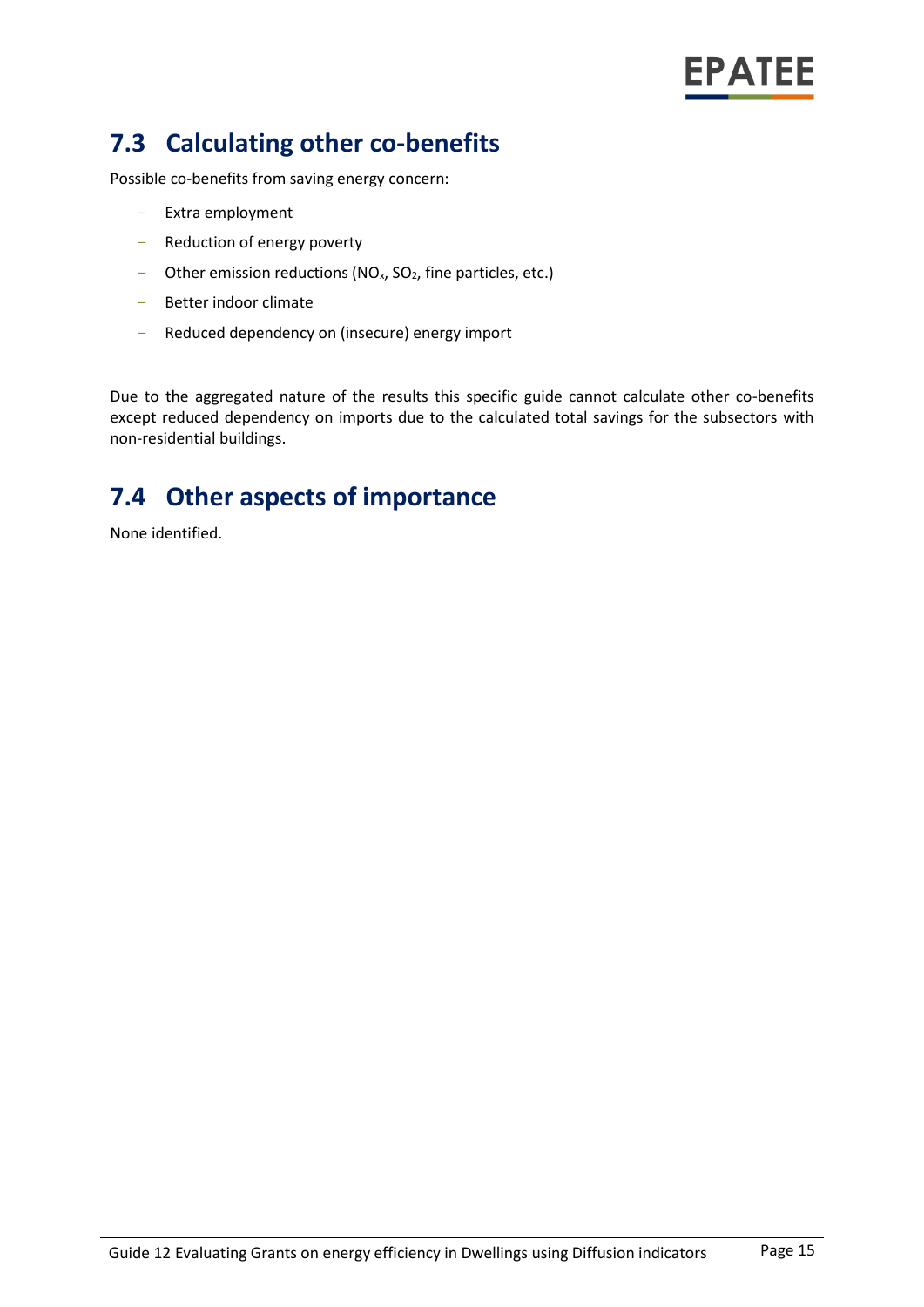## **7.3 Calculating other co-benefits**

Possible co-benefits from saving energy concern:

- Extra employment
- Reduction of energy poverty
- Other emission reductions ( $NO<sub>x</sub>$ ,  $SO<sub>2</sub>$ , fine particles, etc.)
- Better indoor climate
- Reduced dependency on (insecure) energy import

Due to the aggregated nature of the results this specific guide cannot calculate other co-benefits except reduced dependency on imports due to the calculated total savings for the subsectors with non-residential buildings.

## **7.4 Other aspects of importance**

None identified.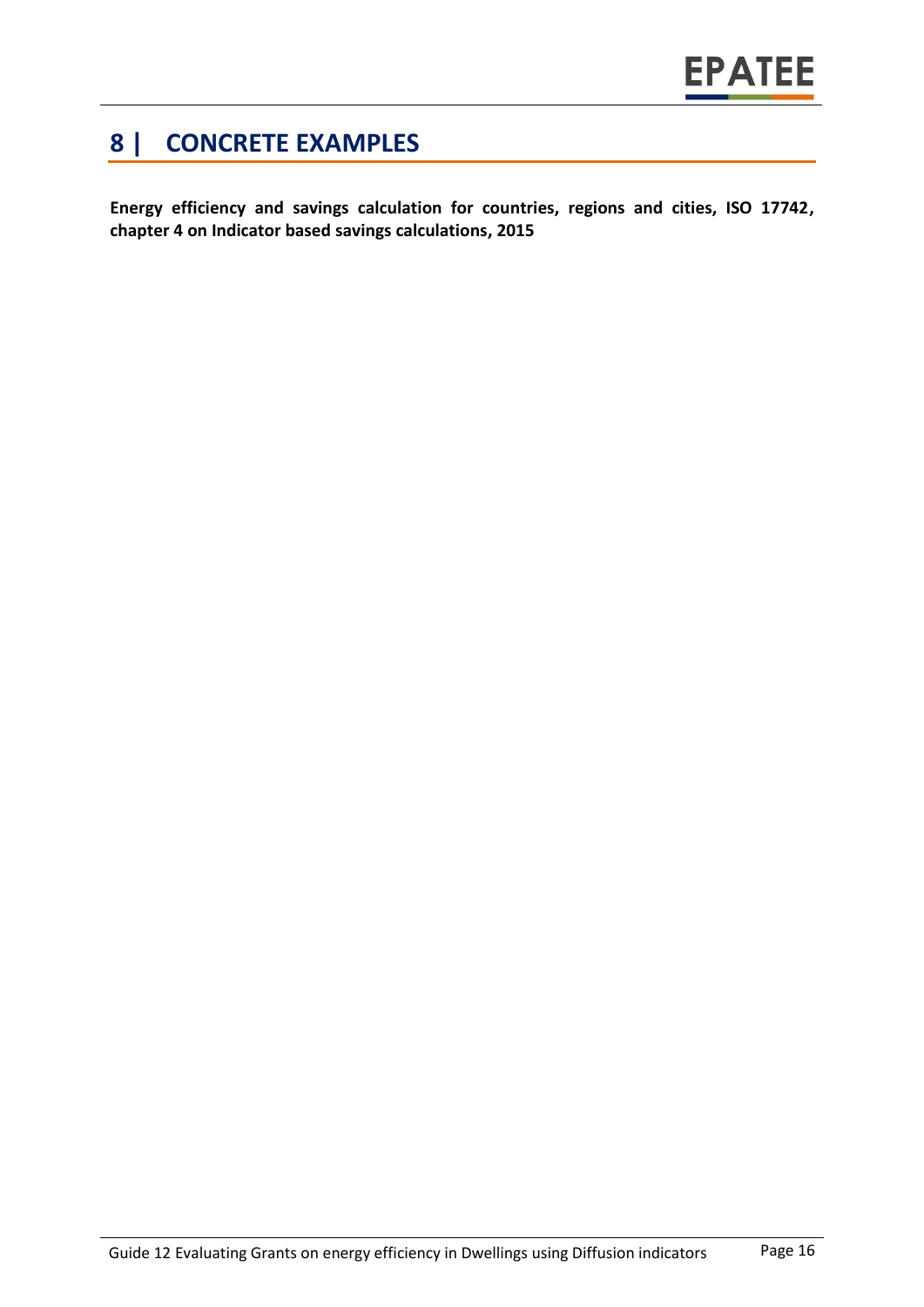### **8 | CONCRETE EXAMPLES**

**Energy efficiency and savings calculation for countries, regions and cities, ISO 17742, chapter 4 on Indicator based savings calculations, 2015**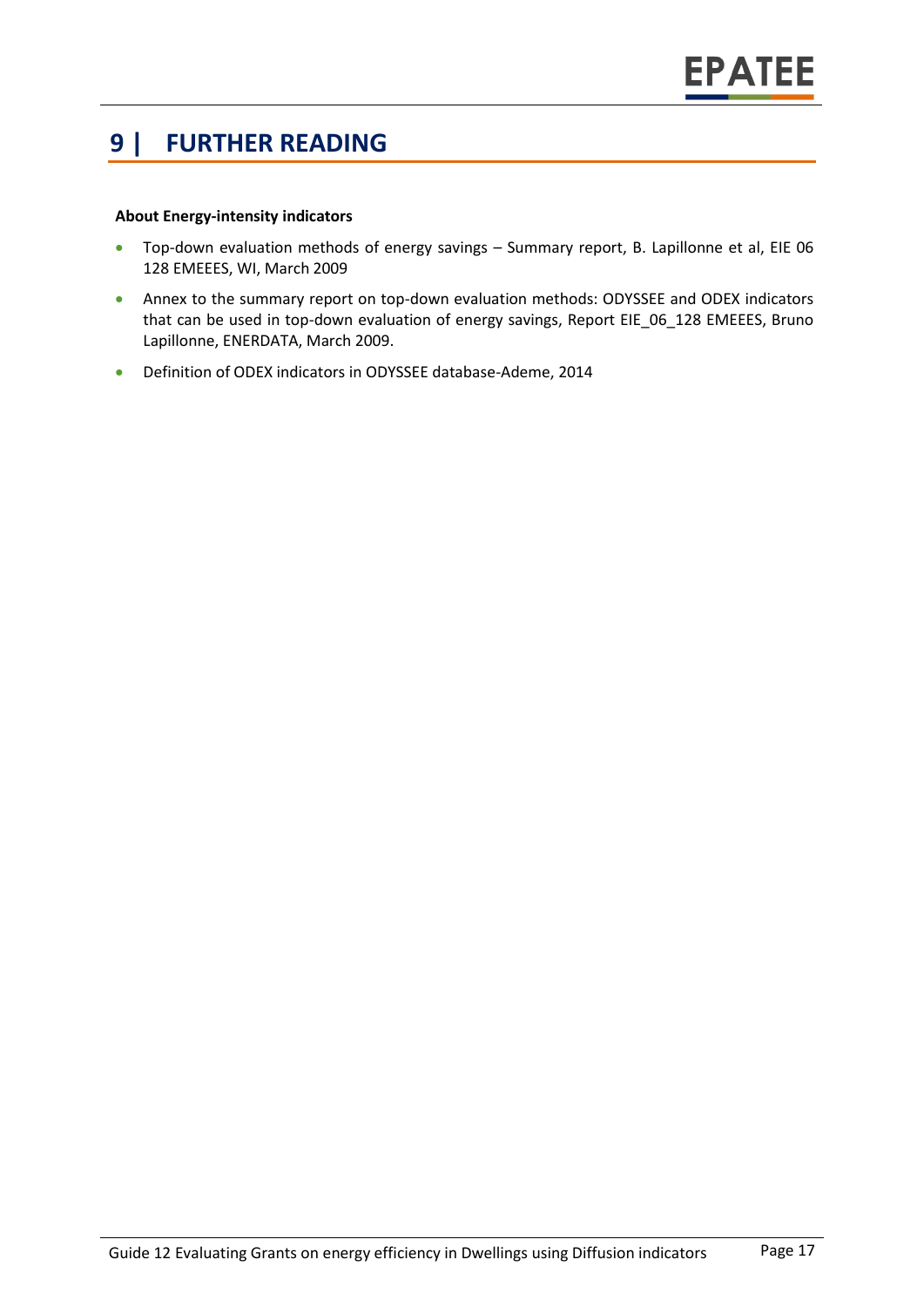#### **9 | FURTHER READING**

#### **About Energy-intensity indicators**

- Top-down evaluation methods of energy savings Summary report, B. Lapillonne et al, EIE 06 128 EMEEES, WI, March 2009
- Annex to the summary report on top-down evaluation methods: ODYSSEE and ODEX indicators that can be used in top-down evaluation of energy savings, Report EIE 06 128 EMEEES, Bruno Lapillonne, ENERDATA, March 2009.
- Definition of ODEX indicators in ODYSSEE database-Ademe, 2014